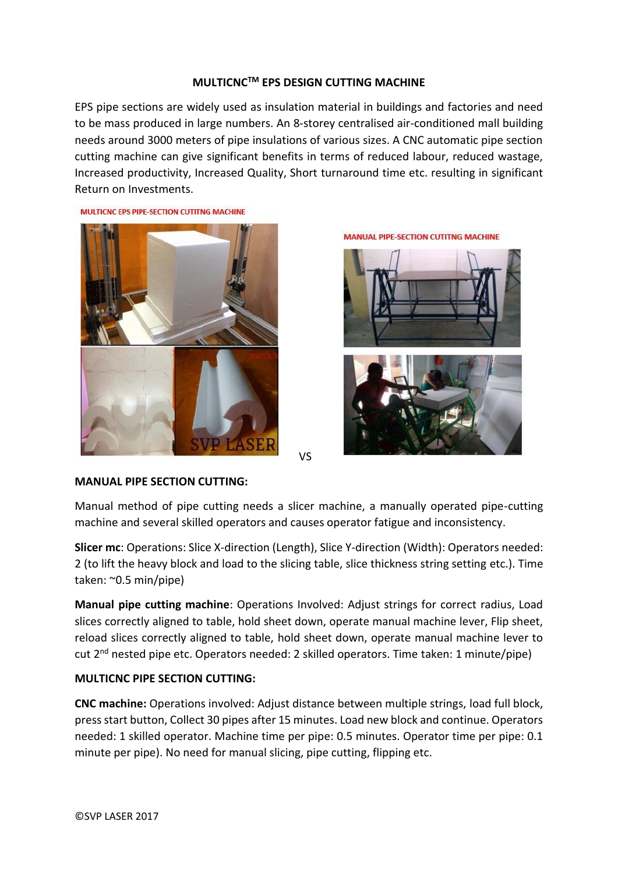### **MULTICNCTM EPS DESIGN CUTTING MACHINE**

EPS pipe sections are widely used as insulation material in buildings and factories and need to be mass produced in large numbers. An 8-storey centralised air-conditioned mall building needs around 3000 meters of pipe insulations of various sizes. A CNC automatic pipe section cutting machine can give significant benefits in terms of reduced labour, reduced wastage, Increased productivity, Increased Quality, Short turnaround time etc. resulting in significant Return on Investments.

**MANUAL PIPE-SECTION CUTITNG MACHINE** 

MULTICNC EPS PIPE-SECTION CUTITNG MACHINE



VS

**MANUAL PIPE SECTION CUTTING:**

Manual method of pipe cutting needs a slicer machine, a manually operated pipe-cutting machine and several skilled operators and causes operator fatigue and inconsistency.

**Slicer mc**: Operations: Slice X-direction (Length), Slice Y-direction (Width): Operators needed: 2 (to lift the heavy block and load to the slicing table, slice thickness string setting etc.). Time taken: ~0.5 min/pipe)

**Manual pipe cutting machine**: Operations Involved: Adjust strings for correct radius, Load slices correctly aligned to table, hold sheet down, operate manual machine lever, Flip sheet, reload slices correctly aligned to table, hold sheet down, operate manual machine lever to cut 2nd nested pipe etc. Operators needed: 2 skilled operators. Time taken: 1 minute/pipe)

# **MULTICNC PIPE SECTION CUTTING:**

**CNC machine:** Operations involved: Adjust distance between multiple strings, load full block, press start button, Collect 30 pipes after 15 minutes. Load new block and continue. Operators needed: 1 skilled operator. Machine time per pipe: 0.5 minutes. Operator time per pipe: 0.1 minute per pipe). No need for manual slicing, pipe cutting, flipping etc.